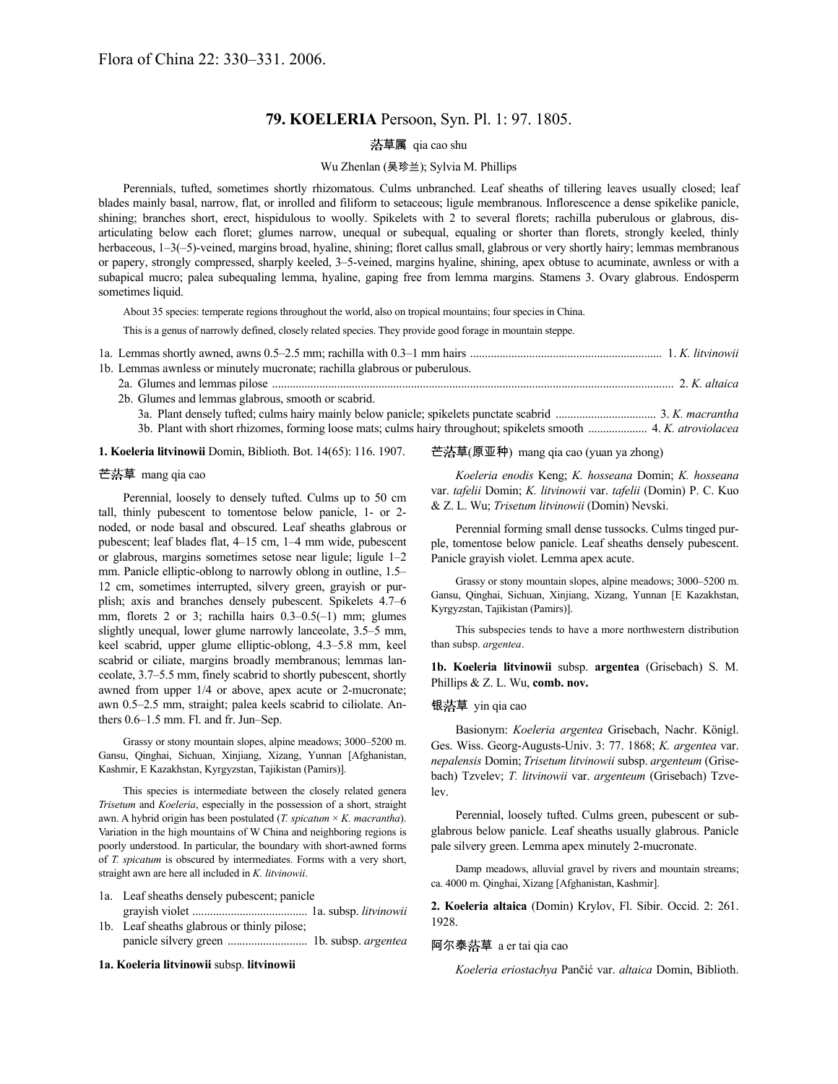# **79. KOELERIA** Persoon, Syn. Pl. 1: 97. 1805.

# 草属 qia cao shu

### Wu Zhenlan (吴珍兰); Sylvia M. Phillips

Perennials, tufted, sometimes shortly rhizomatous. Culms unbranched. Leaf sheaths of tillering leaves usually closed; leaf blades mainly basal, narrow, flat, or inrolled and filiform to setaceous; ligule membranous. Inflorescence a dense spikelike panicle, shining; branches short, erect, hispidulous to woolly. Spikelets with 2 to several florets; rachilla puberulous or glabrous, disarticulating below each floret; glumes narrow, unequal or subequal, equaling or shorter than florets, strongly keeled, thinly herbaceous, 1–3(–5)-veined, margins broad, hyaline, shining; floret callus small, glabrous or very shortly hairy; lemmas membranous or papery, strongly compressed, sharply keeled, 3–5-veined, margins hyaline, shining, apex obtuse to acuminate, awnless or with a subapical mucro; palea subequaling lemma, hyaline, gaping free from lemma margins. Stamens 3. Ovary glabrous. Endosperm sometimes liquid.

About 35 species: temperate regions throughout the world, also on tropical mountains; four species in China.

This is a genus of narrowly defined, closely related species. They provide good forage in mountain steppe.

| 1b. Lemmas awnless or minutely mucronate; rachilla glabrous or puberulous.            |                 |
|---------------------------------------------------------------------------------------|-----------------|
|                                                                                       |                 |
| 2b. Glumes and lemmas glabrous, smooth or scabrid.                                    |                 |
| 20 Dlant dancely tufted; culma hoiry moinly below popiede; culcelete nunctate soobrid | $2 V$ magnantha |

3a. Plant densely tufted; culms hairy mainly below panicle; spikelets punctate scabrid .................................. 3. *K. macrantha* 3b. Plant with short rhizomes, forming loose mats; culms hairy throughout; spikelets smooth .................... 4. *K. atroviolacea*

**1. Koeleria litvinowii** Domin, Biblioth. Bot. 14(65): 116. 1907.

# 芒落草 mang qia cao

Perennial, loosely to densely tufted. Culms up to 50 cm tall, thinly pubescent to tomentose below panicle, 1- or 2 noded, or node basal and obscured. Leaf sheaths glabrous or pubescent; leaf blades flat, 4–15 cm, 1–4 mm wide, pubescent or glabrous, margins sometimes setose near ligule; ligule 1–2 mm. Panicle elliptic-oblong to narrowly oblong in outline, 1.5– 12 cm, sometimes interrupted, silvery green, grayish or purplish; axis and branches densely pubescent. Spikelets 4.7–6 mm, florets 2 or 3; rachilla hairs 0.3–0.5(–1) mm; glumes slightly unequal, lower glume narrowly lanceolate, 3.5–5 mm, keel scabrid, upper glume elliptic-oblong, 4.3–5.8 mm, keel scabrid or ciliate, margins broadly membranous; lemmas lanceolate, 3.7–5.5 mm, finely scabrid to shortly pubescent, shortly awned from upper 1/4 or above, apex acute or 2-mucronate; awn 0.5–2.5 mm, straight; palea keels scabrid to ciliolate. Anthers 0.6–1.5 mm. Fl. and fr. Jun–Sep.

Grassy or stony mountain slopes, alpine meadows; 3000–5200 m. Gansu, Qinghai, Sichuan, Xinjiang, Xizang, Yunnan [Afghanistan, Kashmir, E Kazakhstan, Kyrgyzstan, Tajikistan (Pamirs)].

This species is intermediate between the closely related genera *Trisetum* and *Koeleria*, especially in the possession of a short, straight awn. A hybrid origin has been postulated (*T. spicatum* × *K. macrantha*). Variation in the high mountains of W China and neighboring regions is poorly understood. In particular, the boundary with short-awned forms of *T. spicatum* is obscured by intermediates. Forms with a very short, straight awn are here all included in *K. litvinowii*.

- 1a. Leaf sheaths densely pubescent; panicle
- grayish violet ....................................... 1a. subsp. *litvinowii* 1b. Leaf sheaths glabrous or thinly pilose;
	- panicle silvery green ........................... 1b. subsp. *argentea*

## **1a. Koeleria litvinowii** subsp. **litvinowii**

# 芒落草(原亚种) mang qia cao (yuan ya zhong)

*Koeleria enodis* Keng; *K. hosseana* Domin; *K. hosseana* var. *tafelii* Domin; *K. litvinowii* var. *tafelii* (Domin) P. C. Kuo & Z. L. Wu; *Trisetum litvinowii* (Domin) Nevski.

Perennial forming small dense tussocks. Culms tinged purple, tomentose below panicle. Leaf sheaths densely pubescent. Panicle grayish violet. Lemma apex acute.

Grassy or stony mountain slopes, alpine meadows; 3000–5200 m. Gansu, Qinghai, Sichuan, Xinjiang, Xizang, Yunnan [E Kazakhstan, Kyrgyzstan, Tajikistan (Pamirs)].

This subspecies tends to have a more northwestern distribution than subsp. *argentea*.

**1b. Koeleria litvinowii** subsp. **argentea** (Grisebach) S. M. Phillips & Z. L. Wu, **comb. nov.**

## 银落草 yin qia cao

Basionym: *Koeleria argentea* Grisebach, Nachr. Königl. Ges. Wiss. Georg-Augusts-Univ. 3: 77. 1868; *K. argentea* var. *nepalensis* Domin; *Trisetum litvinowii* subsp. *argenteum* (Grisebach) Tzvelev; *T. litvinowii* var. *argenteum* (Grisebach) Tzvelev.

Perennial, loosely tufted. Culms green, pubescent or subglabrous below panicle. Leaf sheaths usually glabrous. Panicle pale silvery green. Lemma apex minutely 2-mucronate.

Damp meadows, alluvial gravel by rivers and mountain streams; ca. 4000 m. Qinghai, Xizang [Afghanistan, Kashmir].

**2. Koeleria altaica** (Domin) Krylov, Fl. Sibir. Occid. 2: 261. 1928.

## 阿尔泰 草 a er tai qia cao

*Koeleria eriostachya* Pančić var. *altaica* Domin, Biblioth.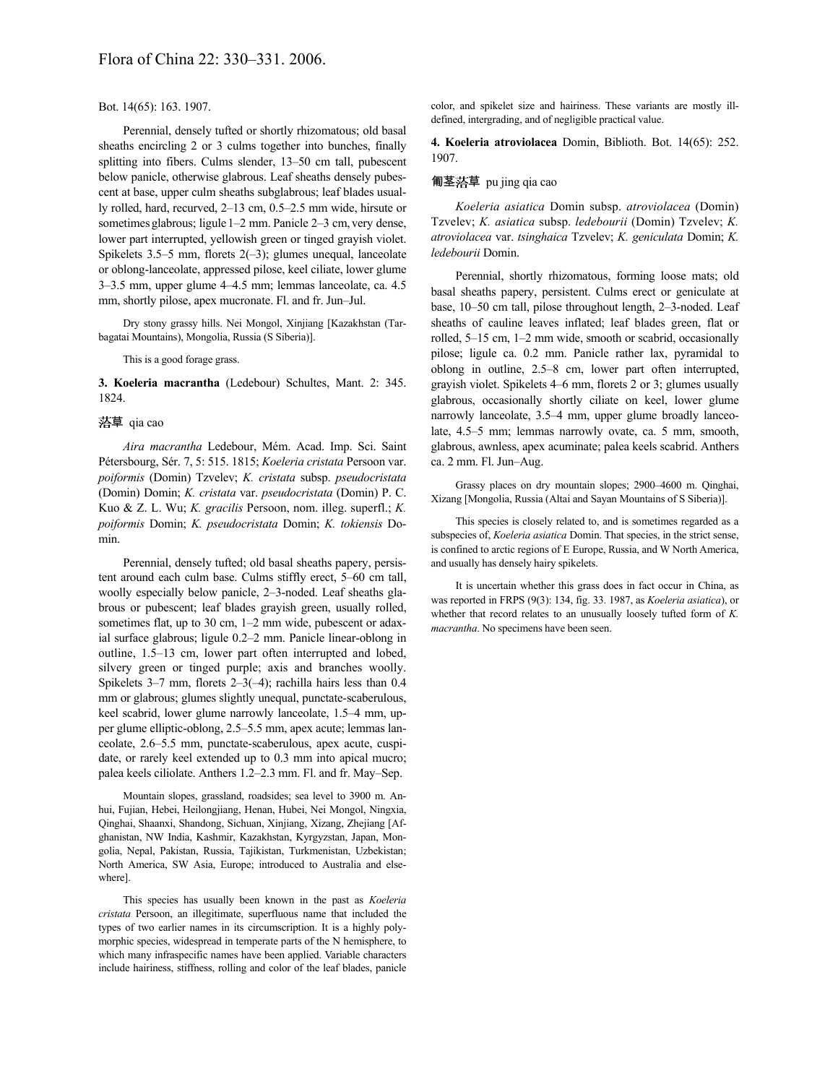#### Bot. 14(65): 163. 1907.

Perennial, densely tufted or shortly rhizomatous; old basal sheaths encircling 2 or 3 culms together into bunches, finally splitting into fibers. Culms slender, 13–50 cm tall, pubescent below panicle, otherwise glabrous. Leaf sheaths densely pubescent at base, upper culm sheaths subglabrous; leaf blades usually rolled, hard, recurved, 2–13 cm, 0.5–2.5 mm wide, hirsute or sometimes glabrous; ligule 1–2 mm. Panicle 2–3 cm, very dense, lower part interrupted, yellowish green or tinged grayish violet. Spikelets 3.5–5 mm, florets  $2(-3)$ ; glumes unequal, lanceolate or oblong-lanceolate, appressed pilose, keel ciliate, lower glume 3–3.5 mm, upper glume 4–4.5 mm; lemmas lanceolate, ca. 4.5 mm, shortly pilose, apex mucronate. Fl. and fr. Jun–Jul.

Dry stony grassy hills. Nei Mongol, Xinjiang [Kazakhstan (Tarbagatai Mountains), Mongolia, Russia (S Siberia)].

#### This is a good forage grass.

**3. Koeleria macrantha** (Ledebour) Schultes, Mant. 2: 345. 1824.

#### 草 qia cao

*Aira macrantha* Ledebour, Mém. Acad. Imp. Sci. Saint Pétersbourg, Sér. 7, 5: 515. 1815; *Koeleria cristata* Persoon var. *poiformis* (Domin) Tzvelev; *K. cristata* subsp. *pseudocristata* (Domin) Domin; *K. cristata* var. *pseudocristata* (Domin) P. C. Kuo & Z. L. Wu; *K. gracilis* Persoon, nom. illeg. superfl.; *K. poiformis* Domin; *K. pseudocristata* Domin; *K. tokiensis* Domin.

Perennial, densely tufted; old basal sheaths papery, persistent around each culm base. Culms stiffly erect, 5–60 cm tall, woolly especially below panicle, 2–3-noded. Leaf sheaths glabrous or pubescent; leaf blades grayish green, usually rolled, sometimes flat, up to 30 cm, 1–2 mm wide, pubescent or adaxial surface glabrous; ligule 0.2–2 mm. Panicle linear-oblong in outline, 1.5–13 cm, lower part often interrupted and lobed, silvery green or tinged purple; axis and branches woolly. Spikelets 3–7 mm, florets 2–3(–4); rachilla hairs less than 0.4 mm or glabrous; glumes slightly unequal, punctate-scaberulous, keel scabrid, lower glume narrowly lanceolate, 1.5–4 mm, upper glume elliptic-oblong, 2.5–5.5 mm, apex acute; lemmas lanceolate, 2.6–5.5 mm, punctate-scaberulous, apex acute, cuspidate, or rarely keel extended up to 0.3 mm into apical mucro; palea keels ciliolate. Anthers 1.2–2.3 mm. Fl. and fr. May–Sep.

Mountain slopes, grassland, roadsides; sea level to 3900 m. Anhui, Fujian, Hebei, Heilongjiang, Henan, Hubei, Nei Mongol, Ningxia, Qinghai, Shaanxi, Shandong, Sichuan, Xinjiang, Xizang, Zhejiang [Afghanistan, NW India, Kashmir, Kazakhstan, Kyrgyzstan, Japan, Mongolia, Nepal, Pakistan, Russia, Tajikistan, Turkmenistan, Uzbekistan; North America, SW Asia, Europe; introduced to Australia and elsewhere].

This species has usually been known in the past as *Koeleria cristata* Persoon, an illegitimate, superfluous name that included the types of two earlier names in its circumscription. It is a highly polymorphic species, widespread in temperate parts of the N hemisphere, to which many infraspecific names have been applied. Variable characters include hairiness, stiffness, rolling and color of the leaf blades, panicle color, and spikelet size and hairiness. These variants are mostly illdefined, intergrading, and of negligible practical value.

**4. Koeleria atroviolacea** Domin, Biblioth. Bot. 14(65): 252. 1907.

#### 匍茎 草 pu jing qia cao

*Koeleria asiatica* Domin subsp. *atroviolacea* (Domin) Tzvelev; *K. asiatica* subsp. *ledebourii* (Domin) Tzvelev; *K. atroviolacea* var. *tsinghaica* Tzvelev; *K. geniculata* Domin; *K. ledebourii* Domin.

Perennial, shortly rhizomatous, forming loose mats; old basal sheaths papery, persistent. Culms erect or geniculate at base, 10–50 cm tall, pilose throughout length, 2–3-noded. Leaf sheaths of cauline leaves inflated; leaf blades green, flat or rolled, 5–15 cm, 1–2 mm wide, smooth or scabrid, occasionally pilose; ligule ca. 0.2 mm. Panicle rather lax, pyramidal to oblong in outline, 2.5–8 cm, lower part often interrupted, grayish violet. Spikelets 4–6 mm, florets 2 or 3; glumes usually glabrous, occasionally shortly ciliate on keel, lower glume narrowly lanceolate, 3.5–4 mm, upper glume broadly lanceolate, 4.5–5 mm; lemmas narrowly ovate, ca. 5 mm, smooth, glabrous, awnless, apex acuminate; palea keels scabrid. Anthers ca. 2 mm. Fl. Jun–Aug.

Grassy places on dry mountain slopes; 2900–4600 m. Qinghai, Xizang [Mongolia, Russia (Altai and Sayan Mountains of S Siberia)].

This species is closely related to, and is sometimes regarded as a subspecies of, *Koeleria asiatica* Domin. That species, in the strict sense, is confined to arctic regions of E Europe, Russia, and W North America, and usually has densely hairy spikelets.

It is uncertain whether this grass does in fact occur in China, as was reported in FRPS (9(3): 134, fig. 33. 1987, as *Koeleria asiatica*), or whether that record relates to an unusually loosely tufted form of *K. macrantha*. No specimens have been seen.